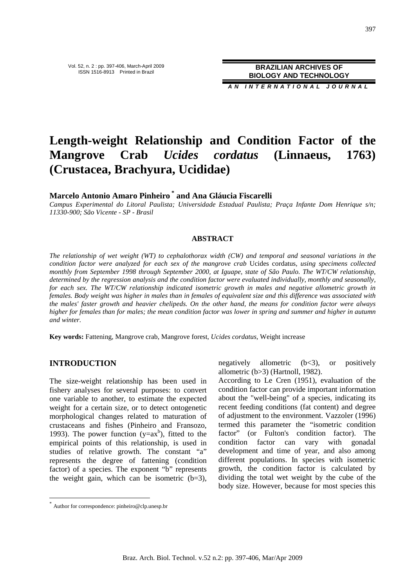**BRAZILIAN ARCHIVES OF BIOLOGY AND TECHNOLOGY**

**A N I N T E R N A T I O N A L J O U R N A L**

# **Length-weight Relationship and Condition Factor of the Mangrove Crab** *Ucides cordatus* **(Linnaeus, 1763) (Crustacea, Brachyura, Ucididae)**

**Marcelo Antonio Amaro Pinheiro \* and Ana Gláucia Fiscarelli** 

*Campus Experimental do Litoral Paulista; Universidade Estadual Paulista; Praça Infante Dom Henrique s/n; 11330-900; São Vicente - SP - Brasil*

#### **ABSTRACT**

*The relationship of wet weight (WT) to cephalothorax width (CW) and temporal and seasonal variations in the condition factor were analyzed for each sex of the mangrove crab* Ucides cordatus*, using specimens collected monthly from September 1998 through September 2000, at Iguape, state of São Paulo. The WT/CW relationship, determined by the regression analysis and the condition factor were evaluated individually, monthly and seasonally, for each sex. The WT/CW relationship indicated isometric growth in males and negative allometric growth in females. Body weight was higher in males than in females of equivalent size and this difference was associated with the males' faster growth and heavier chelipeds. On the other hand, the means for condition factor were always higher for females than for males; the mean condition factor was lower in spring and summer and higher in autumn and winter.* 

**Key words:** Fattening, Mangrove crab, Mangrove forest, *Ucides cordatus*, Weight increase

#### **INTRODUCTION**

 $\overline{a}$ 

The size-weight relationship has been used in fishery analyses for several purposes: to convert one variable to another, to estimate the expected weight for a certain size, or to detect ontogenetic morphological changes related to maturation of crustaceans and fishes (Pinheiro and Fransozo, 1993). The power function ( $y=ax^b$ ), fitted to the empirical points of this relationship, is used in studies of relative growth. The constant "a" represents the degree of fattening (condition factor) of a species. The exponent "b" represents the weight gain, which can be isometric  $(b=3)$ ,

negatively allometric  $(b<3)$ , or positively allometric (b>3) (Hartnoll, 1982).

According to Le Cren (1951), evaluation of the condition factor can provide important information about the "well-being" of a species, indicating its recent feeding conditions (fat content) and degree of adjustment to the environment. Vazzoler (1996) termed this parameter the "isometric condition factor" (or Fulton's condition factor). The condition factor can vary with gonadal development and time of year, and also among different populations. In species with isometric growth, the condition factor is calculated by dividing the total wet weight by the cube of the body size. However, because for most species this

<sup>\*</sup> Author for correspondence: pinheiro@clp.unesp.br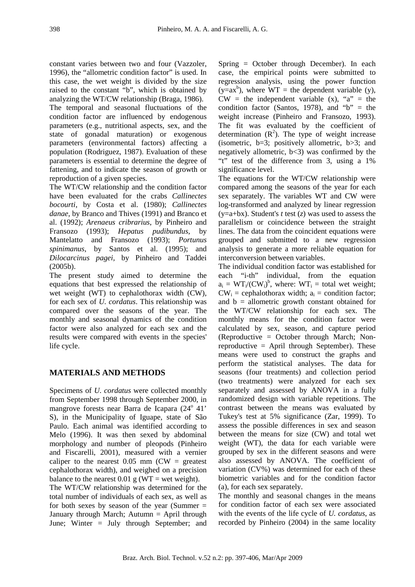constant varies between two and four (Vazzoler, 1996), the "allometric condition factor" is used. In this case, the wet weight is divided by the size raised to the constant "b", which is obtained by analyzing the WT/CW relationship (Braga, 1986).

The temporal and seasonal fluctuations of the condition factor are influenced by endogenous parameters (e.g., nutritional aspects, sex, and the state of gonadal maturation) or exogenous parameters (environmental factors) affecting a population (Rodriguez, 1987). Evaluation of these parameters is essential to determine the degree of fattening, and to indicate the season of growth or reproduction of a given species.

The WT/CW relationship and the condition factor have been evaluated for the crabs *Callinectes bocourti*, by Costa et al. (1980); *Callinectes danae*, by Branco and Thives (1991) and Branco et al. (1992); *Arenaeus cribrarius*, by Pinheiro and Fransozo (1993); *Hepatus pudibundus,* by Mantelatto and Fransozo (1993); *Portunus spinimanus*, by Santos et al. (1995); and *Dilocarcinus pagei,* by Pinheiro and Taddei (2005b).

The present study aimed to determine the equations that best expressed the relationship of wet weight (WT) to cephalothorax width (CW), for each sex of *U. cordatus*. This relationship was compared over the seasons of the year. The monthly and seasonal dynamics of the condition factor were also analyzed for each sex and the results were compared with events in the species' life cycle.

## **MATERIALS AND METHODS**

Specimens of *U. cordatus* were collected monthly from September 1998 through September 2000, in mangrove forests near Barra de Icapara (24<sup>°</sup> 41' S), in the Municipality of Iguape, state of São Paulo. Each animal was identified according to Melo (1996). It was then sexed by abdominal morphology and number of pleopods (Pinheiro and Fiscarelli, 2001), measured with a vernier caliper to the nearest  $0.05$  mm (CW = greatest cephalothorax width), and weighed on a precision balance to the nearest  $0.01$  g (WT = wet weight).

The WT/CW relationship was determined for the total number of individuals of each sex, as well as for both sexes by season of the year (Summer  $=$ January through March; Autumn = April through June; Winter = July through September; and

Spring = October through December). In each case, the empirical points were submitted to regression analysis, using the power function  $(y=a x<sup>b</sup>)$ , where  $WT =$  the dependent variable (y),  $CW =$  the independent variable  $(x)$ , "a" = the condition factor (Santos, 1978), and " $b$ " = the weight increase (Pinheiro and Fransozo, 1993). The fit was evaluated by the coefficient of determination  $(R^2)$ . The type of weight increase (isometric,  $b=3$ ; positively allometric,  $b>3$ ; and negatively allometric,  $b < 3$ ) was confirmed by the "t" test of the difference from 3, using a 1% significance level.

The equations for the WT/CW relationship were compared among the seasons of the year for each sex separately. The variables WT and CW were log-transformed and analyzed by linear regression (y=a+bx). Student's *t* test (*z*) was used to assess the parallelism or coincidence between the straight lines. The data from the coincident equations were grouped and submitted to a new regression analysis to generate a more reliable equation for interconversion between variables.

The individual condition factor was established for each "i-th" individual, from the equation  $a_i = WT_i/CW_i^b$ , where:  $WT_i = total$  wet weight;  $CW_i$  = cephalothorax width;  $a_i$  = condition factor; and  $b =$  allometric growth constant obtained for the WT/CW relationship for each sex. The monthly means for the condition factor were calculated by sex, season, and capture period (Reproductive = October through March; Nonreproductive = April through September). These means were used to construct the graphs and perform the statistical analyses. The data for seasons (four treatments) and collection period (two treatments) were analyzed for each sex separately and assessed by ANOVA in a fully randomized design with variable repetitions. The contrast between the means was evaluated by Tukey's test at 5% significance (Zar, 1999). To assess the possible differences in sex and season between the means for size (CW) and total wet weight (WT), the data for each variable were grouped by sex in the different seasons and were also assessed by ANOVA. The coefficient of variation (CV%) was determined for each of these biometric variables and for the condition factor (a), for each sex separately.

The monthly and seasonal changes in the means for condition factor of each sex were associated with the events of the life cycle of *U. cordatus*, as recorded by Pinheiro (2004) in the same locality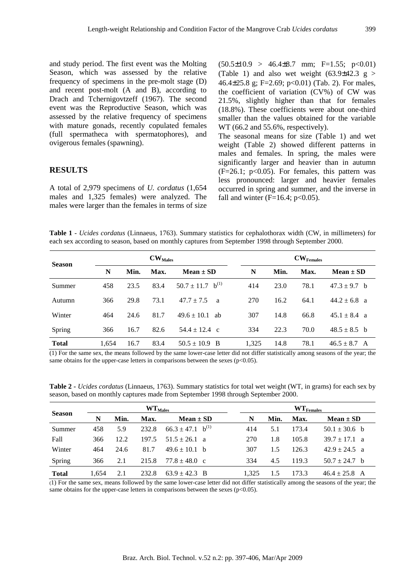and study period. The first event was the Molting Season, which was assessed by the relative frequency of specimens in the pre-molt stage (D) and recent post-molt (A and B), according to Drach and Tchernigovtzeff (1967). The second event was the Reproductive Season, which was assessed by the relative frequency of specimens with mature gonads, recently copulated females (full spermatheca with spermatophores), and ovigerous females (spawning).

#### **RESULTS**

A total of 2,979 specimens of *U. cordatus* (1,654 males and 1,325 females) were analyzed. The males were larger than the females in terms of size  $(50.5\pm10.9 > 46.4\pm8.7$  mm; F=1.55; p<0.01) (Table 1) and also wet weight  $(63.9\pm42.3 \text{ g} >$ 46.4±25.8 g; F=2.69; p<0.01) (Tab. 2). For males, the coefficient of variation (CV%) of CW was 21.5%, slightly higher than that for females (18.8%). These coefficients were about one-third smaller than the values obtained for the variable WT (66.2 and 55.6%, respectively). The seasonal means for size (Table 1) and wet weight (Table 2) showed different patterns in males and females. In spring, the males were

significantly larger and heavier than in autumn  $(F=26.1; p<0.05)$ . For females, this pattern was less pronounced: larger and heavier females occurred in spring and summer, and the inverse in fall and winter ( $F=16.4$ ;  $p<0.05$ ).

**Table 1** - *Ucides cordatus* (Linnaeus, 1763). Summary statistics for cephalothorax width (CW, in millimeters) for each sex according to season, based on monthly captures from September 1998 through September 2000.

| <b>Season</b> | $CW_{Males}$ |      |      |                                  | ${\rm\bf CW_{Females}}$ |      |      |                  |
|---------------|--------------|------|------|----------------------------------|-------------------------|------|------|------------------|
|               | N            | Min. | Max. | $Mean \pm SD$                    | N                       | Min. | Max. | $Mean \pm SD$    |
| Summer        | 458          | 23.5 | 83.4 | $50.7 \pm 11.7$ b <sup>(1)</sup> | 414                     | 23.0 | 78.1 | $47.3 \pm 9.7$ b |
| Autumn        | 366          | 29.8 | 73.1 | $47.7 + 7.5$<br>a                | 270                     | 16.2 | 64.1 | $44.2 \pm 6.8$ a |
| Winter        | 464          | 24.6 | 81.7 | $49.6 \pm 10.1$<br>ab            | 307                     | 14.8 | 66.8 | $45.1 \pm 8.4$ a |
| Spring        | 366          | 16.7 | 82.6 | $54.4 \pm 12.4$ c                | 334                     | 22.3 | 70.0 | $48.5 \pm 8.5$ b |
| <b>Total</b>  | 1,654        | 16.7 | 83.4 | $50.5 \pm 10.9$<br>- B           | 1,325                   | 14.8 | 78.1 | $46.5 \pm 8.7$ A |

(1) For the same sex, the means followed by the same lower-case letter did not differ statistically among seasons of the year; the same obtains for the upper-case letters in comparisons between the sexes ( $p<0.05$ ).

**Table 2 -** *Ucides cordatus* (Linnaeus, 1763). Summary statistics for total wet weight (WT, in grams) for each sex by season, based on monthly captures made from September 1998 through September 2000.

| <b>Season</b> |       | $WT_{Males}$ |       |                                  |       | $\mathbf{WT}_{\text{Females}}$ |       |                   |  |
|---------------|-------|--------------|-------|----------------------------------|-------|--------------------------------|-------|-------------------|--|
|               | N     | Min.         | Max.  | $Mean \pm SD$                    | N     | Min.                           | Max.  | $Mean \pm SD$     |  |
| Summer        | 458   | 5.9          | 232.8 | $66.3 \pm 47.1$ b <sup>(1)</sup> | 414   | 5.1                            | 173.4 | $50.1 \pm 30.6$ b |  |
| Fall          | 366   | 12.2         | 197.5 | $51.5 \pm 26.1$ a                | 270   | 1.8                            | 105.8 | $39.7 \pm 17.1$ a |  |
| Winter        | 464   | 24.6         | 81.7  | $49.6 \pm 10.1$ b                | 307   | 1.5                            | 126.3 | $42.9 \pm 24.5$ a |  |
| Spring        | 366   | 2.1          | 215.8 | $77.8 \pm 48.0$ c                | 334   | 4.5                            | 119.3 | $50.7 \pm 24.7$ b |  |
| <b>Total</b>  | 1.654 | 2.1          | 232.8 | $63.9 \pm 42.3$ B                | 1.325 |                                | 173.3 | $46.4 \pm 25.8$ A |  |

(1) For the same sex, means followed by the same lower-case letter did not differ statistically among the seasons of the year; the same obtains for the upper-case letters in comparisons between the sexes  $(p<0.05)$ .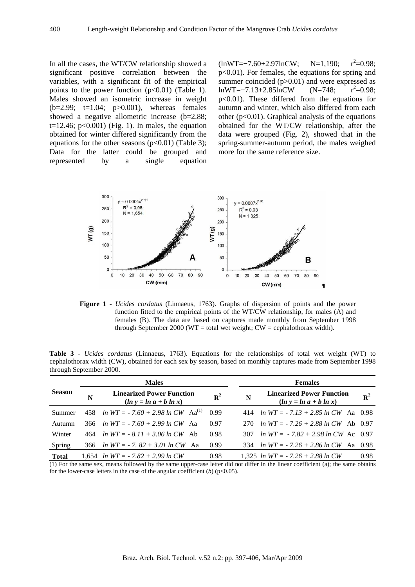In all the cases, the WT/CW relationship showed a significant positive correlation between the variables, with a significant fit of the empirical points to the power function  $(p<0.01)$  (Table 1). Males showed an isometric increase in weight  $(b=2.99; t=1.04; p>0.001)$ , whereas females showed a negative allometric increase (b=2.88; t=12.46;  $p<0.001$ ) (Fig. 1). In males, the equation obtained for winter differed significantly from the equations for the other seasons  $(p<0.01)$  (Table 3); Data for the latter could be grouped and represented by a single equation (lnWT=−7.60+2.97lnCW; N=1,190; r<sup>2</sup>  $r^2=0.98$ ; p<0.01). For females, the equations for spring and summer coincided (p>0.01) and were expressed as lnWT= $-7.13+2.85$ lnCW (N=748;  $r^2=0.98$ ; p<0.01). These differed from the equations for autumn and winter, which also differed from each other  $(p<0.01)$ . Graphical analysis of the equations obtained for the WT/CW relationship, after the data were grouped (Fig. 2), showed that in the spring-summer-autumn period, the males weighed more for the same reference size.



**Figure 1 -** *Ucides cordatus* (Linnaeus, 1763). Graphs of dispersion of points and the power function fitted to the empirical points of the WT/CW relationship, for males (A) and females (B). The data are based on captures made monthly from September 1998 through September 2000 (WT = total wet weight;  $CW =$  cephalothorax width).

**Table 3** - *Ucides cordatus* (Linnaeus, 1763). Equations for the relationships of total wet weight (WT) to cephalothorax width (CW), obtained for each sex by season, based on monthly captures made from September 1998 through September 2000.

| <b>Season</b>        |      | <b>Males</b>                                                 |                | <b>Females</b> |                                                              |                 |  |  |
|----------------------|------|--------------------------------------------------------------|----------------|----------------|--------------------------------------------------------------|-----------------|--|--|
|                      | N    | <b>Linearized Power Function</b><br>$(ln y = ln a + b ln x)$ | $\mathbf{R}^2$ | N              | <b>Linearized Power Function</b><br>$(ln y = ln a + b ln x)$ | $\mathbb{R}^2$  |  |  |
| Summer               | 458  | <i>ln WT</i> = $-7.60 + 2.98$ <i>ln CW</i> Aa <sup>(1)</sup> | 0.99           | 414            | <i>ln</i> $WT = -7.13 + 2.85 \ln CW$ Aa 0.98                 |                 |  |  |
| Autumn               | 366. | <i>ln</i> $WT = -7.60 + 2.99$ <i>ln</i> $CW$ Aa              | 0.97           | 270            | $ln WT = -7.26 + 2.88 ln CW$ Ab 0.97                         |                 |  |  |
| Winter               | 464  | $ln WT = -8.11 + 3.06 ln CW$ Ab                              | 0.98           | 307            | $ln WT = -7.82 + 2.98 ln CW$ Ac 0.97                         |                 |  |  |
| Spring               | 366  | <i>ln</i> $WT = -7$ . 82 + 3.01 <i>ln</i> $CW$ Aa            | 0.99           | 334            | $ln WT = -7.26 + 2.86 ln CW$ Aa 0.98                         |                 |  |  |
| <b>Total</b>         |      | 1,654 $ln WT = -7.82 + 2.99 ln CW$                           | 0.98           |                | 1.325 <i>ln WT</i> = $-7.26 + 2.88$ <i>ln CW</i>             | 0.98            |  |  |
| $\sim$ $\sim$ $\sim$ |      |                                                              |                |                |                                                              | $\cdot$ $\cdot$ |  |  |

(1) For the same sex, means followed by the same upper-case letter did not differ in the linear coefficient (a); the same obtains for the lower-case letters in the case of the angular coefficient  $(b)$  ( $p<0.05$ ).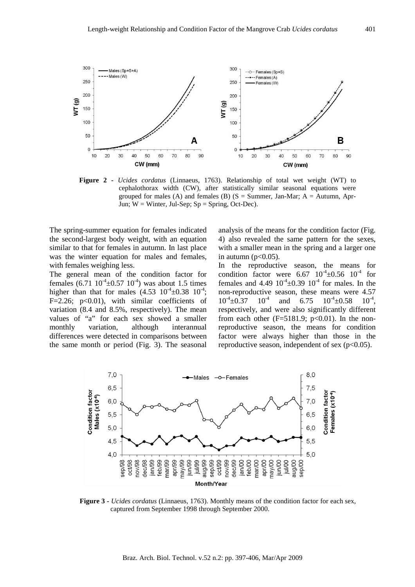

**Figure 2 -** *Ucides cordatus* (Linnaeus, 1763). Relationship of total wet weight (WT) to cephalothorax width (CW), after statistically similar seasonal equations were grouped for males (A) and females (B)  $(S = Summer, Jan-Mar; A = Autumn, Apr-$ Jun;  $W =$  Winter, Jul-Sep;  $Sp =$  Spring, Oct-Dec).

The spring-summer equation for females indicated the second-largest body weight, with an equation similar to that for females in autumn. In last place was the winter equation for males and females, with females weighing less.

The general mean of the condition factor for females  $(6.71 \ 10^{-4} \pm 0.57 \ 10^{-4})$  was about 1.5 times higher than that for males  $(4.53 \t 10^{-4} \pm 0.38 \t 10^{-4})$ ; F=2.26; p<0.01), with similar coefficients of variation (8.4 and 8.5%, respectively). The mean values of "a" for each sex showed a smaller monthly variation, although interannual differences were detected in comparisons between the same month or period (Fig. 3). The seasonal

analysis of the means for the condition factor (Fig. 4) also revealed the same pattern for the sexes, with a smaller mean in the spring and a larger one in autumn ( $p<0.05$ ).

In the reproductive season, the means for condition factor were  $6.67 \frac{10^{-4} \pm 0.56}{10^{-4}}$  for females and 4.49  $10^{-4}$  ±0.39  $10^{-4}$  for males. In the non-reproductive season, these means were 4.57  $10^{-4} \pm 0.37$   $10^{-4}$  and  $6.75$   $10^{-4} \pm 0.58$  $10^{-4}$ . respectively, and were also significantly different from each other  $(F=5181.9; p<0.01)$ . In the nonreproductive season, the means for condition factor were always higher than those in the reproductive season, independent of sex  $(p<0.05)$ .



**Figure 3 -** *Ucides cordatus* (Linnaeus, 1763). Monthly means of the condition factor for each sex, captured from September 1998 through September 2000.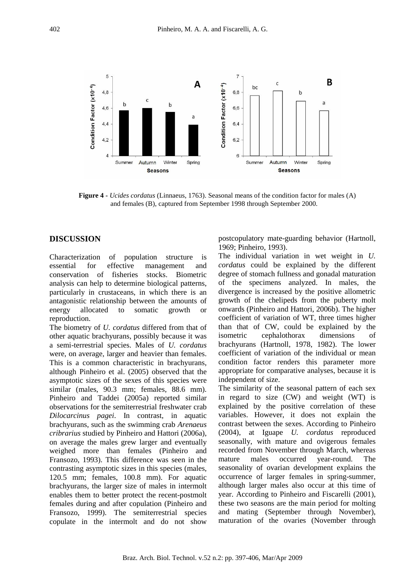

**Figure 4 -** *Ucides cordatus* (Linnaeus, 1763). Seasonal means of the condition factor for males (A) and females (B), captured from September 1998 through September 2000.

#### **DISCUSSION**

Characterization of population structure is essential for effective management and conservation of fisheries stocks. Biometric analysis can help to determine biological patterns, particularly in crustaceans, in which there is an antagonistic relationship between the amounts of energy allocated to somatic growth or reproduction.

The biometry of *U. cordatus* differed from that of other aquatic brachyurans, possibly because it was a semi-terrestrial species. Males of *U. cordatus* were, on average, larger and heavier than females. This is a common characteristic in brachyurans, although Pinheiro et al. (2005) observed that the asymptotic sizes of the sexes of this species were similar (males, 90.3 mm; females, 88.6 mm). Pinheiro and Taddei (2005a) reported similar observations for the semiterrestrial freshwater crab *Dilocarcinus pagei*. In contrast, in aquatic brachyurans, such as the swimming crab *Arenaeus cribrarius* studied by Pinheiro and Hattori (2006a), on average the males grew larger and eventually weighed more than females (Pinheiro and Fransozo, 1993). This difference was seen in the contrasting asymptotic sizes in this species (males, 120.5 mm; females, 100.8 mm). For aquatic brachyurans, the larger size of males in intermolt enables them to better protect the recent-postmolt females during and after copulation (Pinheiro and Fransozo, 1999). The semiterrestrial species copulate in the intermolt and do not show postcopulatory mate-guarding behavior (Hartnoll, 1969; Pinheiro, 1993).

The individual variation in wet weight in *U. cordatus* could be explained by the different degree of stomach fullness and gonadal maturation of the specimens analyzed. In males, the divergence is increased by the positive allometric growth of the chelipeds from the puberty molt onwards (Pinheiro and Hattori, 2006b). The higher coefficient of variation of WT, three times higher than that of CW, could be explained by the isometric cephalothorax dimensions of brachyurans (Hartnoll, 1978, 1982). The lower coefficient of variation of the individual or mean condition factor renders this parameter more appropriate for comparative analyses, because it is independent of size.

The similarity of the seasonal pattern of each sex in regard to size (CW) and weight (WT) is explained by the positive correlation of these variables. However, it does not explain the contrast between the sexes. According to Pinheiro (2004), at Iguape *U. cordatus* reproduced seasonally, with mature and ovigerous females recorded from November through March, whereas mature males occurred year-round. The seasonality of ovarian development explains the occurrence of larger females in spring-summer, although larger males also occur at this time of year. According to Pinheiro and Fiscarelli (2001), these two seasons are the main period for molting and mating (September through November), maturation of the ovaries (November through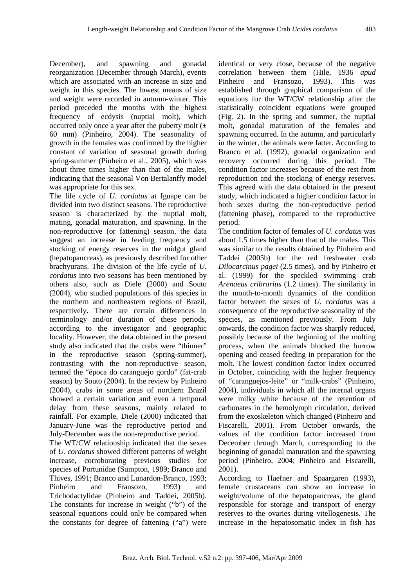December), and spawning and gonadal reorganization (December through March), events which are associated with an increase in size and weight in this species. The lowest means of size and weight were recorded in autumn-winter. This period preceded the months with the highest frequency of ecdysis (nuptial molt), which occurred only once a year after the puberty molt  $(±$ 60 mm) (Pinheiro, 2004). The seasonality of growth in the females was confirmed by the higher constant of variation of seasonal growth during spring-summer (Pinheiro et al., 2005), which was about three times higher than that of the males, indicating that the seasonal Von Bertalanffy model was appropriate for this sex.

The life cycle of *U. cordatus* at Iguape can be divided into two distinct seasons. The reproductive season is characterized by the nuptial molt, mating, gonadal maturation, and spawning. In the non-reproductive (or fattening) season, the data suggest an increase in feeding frequency and stocking of energy reserves in the midgut gland (hepatopancreas), as previously described for other brachyurans. The division of the life cycle of *U. cordatus* into two seasons has been mentioned by others also, such as Diele (2000) and Souto (2004), who studied populations of this species in the northern and northeastern regions of Brazil, respectively. There are certain differences in terminology and/or duration of these periods, according to the investigator and geographic locality. However, the data obtained in the present study also indicated that the crabs were "thinner" in the reproductive season (spring-summer), contrasting with the non-reproductive season, termed the "época do caranguejo gordo" (fat-crab season) by Souto (2004). In the review by Pinheiro (2004), crabs in some areas of northern Brazil showed a certain variation and even a temporal delay from these seasons, mainly related to rainfall. For example, Diele (2000) indicated that January-June was the reproductive period and July-December was the non-reproductive period.

The WT/CW relationship indicated that the sexes of *U. cordatus* showed different patterns of weight increase, corroborating previous studies for species of Portunidae (Sumpton, 1989; Branco and Thives, 1991; Branco and Lunardon-Branco, 1993; Pinheiro and Fransozo, 1993) and Trichodactylidae (Pinheiro and Taddei, 2005b). The constants for increase in weight ("b") of the seasonal equations could only be compared when the constants for degree of fattening ("a") were identical or very close, because of the negative correlation between them (Hile, 1936 *apud* Pinheiro and Fransozo, 1993). This was established through graphical comparison of the equations for the WT/CW relationship after the statistically coincident equations were grouped (Fig. 2). In the spring and summer, the nuptial molt, gonadal maturation of the females and spawning occurred. In the autumn, and particularly in the winter, the animals were fatter. According to Branco et al. (1992), gonadal organization and recovery occurred during this period. The condition factor increases because of the rest from reproduction and the stocking of energy reserves. This agreed with the data obtained in the present study, which indicated a higher condition factor in both sexes during the non-reproductive period (fattening phase), compared to the reproductive period.

The condition factor of females of *U. cordatus* was about 1.5 times higher than that of the males. This was similar to the results obtained by Pinheiro and Taddei (2005b) for the red freshwater crab *Dilocarcinus pagei* (2.5 times), and by Pinheiro et al. (1999) for the speckled swimming crab *Arenaeus cribrarius* (1.2 times). The similarity in the month-to-month dynamics of the condition factor between the sexes of *U. cordatus* was a consequence of the reproductive seasonality of the species, as mentioned previously. From July onwards, the condition factor was sharply reduced, possibly because of the beginning of the molting process, when the animals blocked the burrow opening and ceased feeding in preparation for the molt. The lowest condition factor index occurred in October, coinciding with the higher frequency of "caranguejos-leite" or "milk-crabs" (Pinheiro, 2004), individuals in which all the internal organs were milky white because of the retention of carbonates in the hemolymph circulation, derived from the exoskeleton which changed (Pinheiro and Fiscarelli, 2001). From October onwards, the values of the condition factor increased from December through March, corresponding to the beginning of gonadal maturation and the spawning period (Pinheiro, 2004; Pinheiro and Fiscarelli, 2001).

According to Haefner and Spaargaren (1993), female crustaceans can show an increase in weight/volume of the hepatopancreas, the gland responsible for storage and transport of energy reserves to the ovaries during vitellogenesis. The increase in the hepatosomatic index in fish has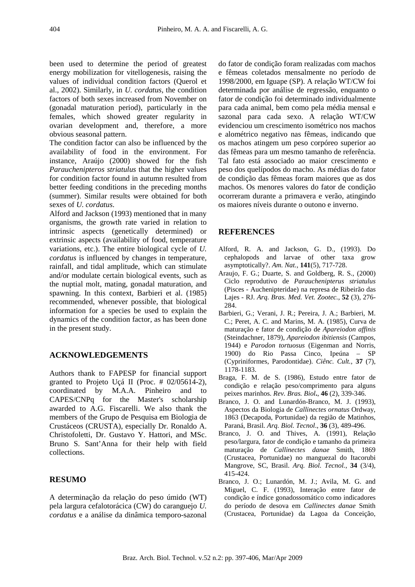been used to determine the period of greatest energy mobilization for vitellogenesis, raising the values of individual condition factors (Querol et al., 2002). Similarly, in *U. cordatus*, the condition factors of both sexes increased from November on (gonadal maturation period), particularly in the females, which showed greater regularity in ovarian development and, therefore, a more obvious seasonal pattern.

The condition factor can also be influenced by the availability of food in the environment. For instance, Araújo (2000) showed for the fish *Parauchenipteros striatulus* that the higher values for condition factor found in autumn resulted from better feeding conditions in the preceding months (summer). Similar results were obtained for both sexes of *U. cordatus*.

Alford and Jackson (1993) mentioned that in many organisms, the growth rate varied in relation to intrinsic aspects (genetically determined) or extrinsic aspects (availability of food, temperature variations, etc.). The entire biological cycle of *U. cordatus* is influenced by changes in temperature, rainfall, and tidal amplitude, which can stimulate and/or modulate certain biological events, such as the nuptial molt, mating, gonadal maturation, and spawning. In this context, Barbieri et al. (1985) recommended, whenever possible, that biological information for a species be used to explain the dynamics of the condition factor, as has been done in the present study.

#### **ACKNOWLEDGEMENTS**

Authors thank to FAPESP for financial support granted to Projeto Uçá II (Proc. # 02/05614-2), coordinated by M.A.A. Pinheiro and to CAPES/CNPq for the Master's scholarship awarded to A.G. Fiscarelli. We also thank the members of the Grupo de Pesquisa em Biologia de Crustáceos (CRUSTA), especially Dr. Ronaldo A. Christofoletti, Dr. Gustavo Y. Hattori, and MSc. Bruno S. Sant'Anna for their help with field collections.

### **RESUMO**

A determinação da relação do peso úmido (WT) pela largura cefalotorácica (CW) do caranguejo *U. cordatus* e a análise da dinâmica temporo-sazonal

do fator de condição foram realizadas com machos e fêmeas coletados mensalmente no período de 1998/2000, em Iguape (SP). A relação WT/CW foi determinada por análise de regressão, enquanto o fator de condição foi determinado individualmente para cada animal, bem como pela média mensal e sazonal para cada sexo. A relação WT/CW evidenciou um crescimento isométrico nos machos e alométrico negativo nas fêmeas, indicando que os machos atingem um peso corpóreo superior ao das fêmeas para um mesmo tamanho de referência. Tal fato está associado ao maior crescimento e peso dos quelípodos do macho. As médias do fator de condição das fêmeas foram maiores que as dos machos. Os menores valores do fator de condição ocorreram durante a primavera e verão, atingindo os maiores níveis durante o outono e inverno.

#### **REFERENCES**

- Alford, R. A. and Jackson, G. D., (1993). Do cephalopods and larvae of other taxa grow asymptotically?. *Am. Nat.*, **141**(5), 717-728.
- Araujo, F. G.; Duarte, S. and Goldberg, R. S., (2000) Ciclo reprodutivo de *Parauchenipterus striatulus* (Pisces - Auchenipteridae) na represa de Ribeirão das Lajes - RJ. *Arq. Bras. Med. Vet. Zootec.*, **52** (3), 276- 284.
- Barbieri, G.; Verani, J. R.; Pereira, J. A.; Barbieri, M. C.; Peret, A. C. and Marins, M. A. (1985), Curva de maturação e fator de condição de *Apareiodon affinis* (Steindachner, 1879), *Apareiodon ibitiensis* (Campos, 1944) e *Parodon tortuosus* (Eigenman and Norris, 1900) do Rio Passa Cinco, Ipeúna – SP (Cypriniformes, Parodontidae). *Ciênc. Cult.,* **37** (7), 1178-1183.
- Braga, F. M. de S. (1986), Estudo entre fator de condição e relação peso/comprimento para alguns peixes marinhos. *Rev. Bras. Biol***.**, **46** (2), 339-346.
- Branco, J. O. and Lunardón-Branco, M. J. (1993), Aspectos da Biologia de *Callinectes ornatus* Ordway, 1863 (Decapoda, Portunidae) da região de Matinhos, Paraná, Brasil. *Arq. Biol. Tecnol*., **36** (3), 489-496.
- Branco, J. O. and Thives, A. (1991), Relação peso/largura, fator de condição e tamanho da primeira maturação de *Callinectes danae* Smith, 1869 (Crustacea, Portunidae) no manguezal do Itacorubi Mangrove, SC, Brasil. *Arq. Biol. Tecnol.*, **34** (3/4), 415-424.
- Branco, J. O.; Lunardón, M. J.; Avila, M. G. and Miguel, C. F. (1993), Interação entre fator de condição e índice gonadossomático como indicadores do período de desova em *Callinectes danae* Smith (Crustacea, Portunidae) da Lagoa da Conceição,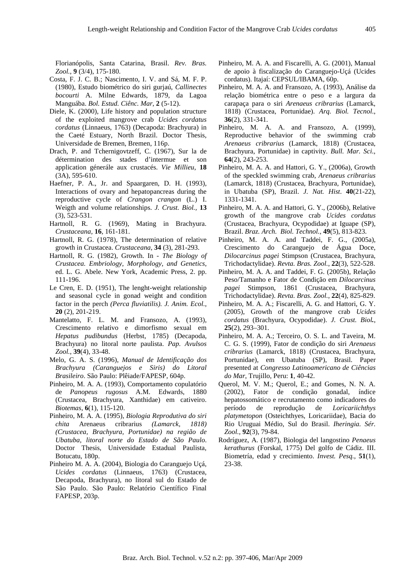Florianópolis, Santa Catarina, Brasil. *Rev. Bras. Zool.*, **9** (3/4), 175-180.

- Costa, F. J. C. B.; Nascimento, I. V. and Sá, M. F. P. (1980), Estudo biométrico do siri gurjaú, *Callinectes bocourti* A. Milne Edwards, 1879, da Lagoa Manguába. *Bol. Estud. Ciênc. Mar*, **2** (5-12).
- Diele, K. (2000), Life history and population structure of the exploited mangrove crab *Ucides cordatus cordatus* (Linnaeus, 1763) (Decapoda: Brachyura) in the Caeté Estuary, North Brazil. Doctor Thesis, Universidade de Bremen, Bremen, 116p.
- Drach, P. and Tchernigovtzeff, C. (1967), Sur la de détermination des stades d'intermue et son application génerále aux crustacés. *Vie Millieu*, **18** (3A), 595-610.
- Haefner, P. A., Jr. and Spaargaren, D. H. (1993), Interactions of ovary and hepatopancreas during the reproductive cycle of *Crangon crangon* (L.) I. Weigth and volume relationships. *J. Crust. Biol.,* **13** (3), 523-531.
- Hartnoll, R. G. (1969), Mating in Brachyura. *Crustaceana,* **16**, 161-181.
- Hartnoll, R. G. (1978), The determination of relative growth in Crustacea. *Crustaceana*, **34** (3), 281-293.
- Hartnoll, R. G. (1982), Growth. In *The Biology of Crustacea. Embriology, Morphology, and Genetics*, ed. L. G. Abele. New York, Academic Press, 2. pp. 111-196.
- Le Cren, E. D. (1951), The lenght-weight relationship and seasonal cycle in gonad weight and condition factor in the perch *(Perca fluviatilis). J. Anim. Ecol.*, **20** (2), 201-219.
- Mantelatto, F. L. M. and Fransozo, A. (1993), Crescimento relativo e dimorfismo sexual em *Hepatus pudibundus* (Herbst, 1785) (Decapoda, Brachyura) no litoral norte paulista. *Pap. Avulsos Zool.*, **39**(4), 33-48.
- Melo, G. A. S. (1996), *Manual de Identificação dos Brachyura (Caranguejos e Siris) do Litoral Brasileiro*. São Paulo: Plêiade/FAPESP, 604p.
- Pinheiro, M. A. A. (1993), Comportamento copulatório de *Panopeus rugosus* A.M. Edwards, 1880 (Crustacea, Brachyura, Xanthidae) em cativeiro. *Biotemas*, **6**(1), 115-120.
- Pinheiro, M. A. A. (1995), *Biologia Reprodutiva do siri chita* Arenaeus cribrarius *(Lamarck, 1818) (Crustacea, Brachyura, Portunidae) na região de Ubatuba, litoral norte do Estado de São Paulo*. Doctor Thesis, Universidade Estadual Paulista, Botucatu, 180p.
- Pinheiro M. A. A. (2004), Biologia do Caranguejo Uçá, *Ucides cordatus* (Linnaeus, 1763) (Crustacea, Decapoda, Brachyura), no litoral sul do Estado de São Paulo. São Paulo: Relatório Científico Final FAPESP, 203p.
- Pinheiro, M. A. A. and Fiscarelli, A. G. (2001), Manual de apoio à fiscalização do Caranguejo-Uçá (Ucides cordatus). Itajaí: CEPSUL/IBAMA, 60p.
- Pinheiro, M. A. A. and Fransozo, A. (1993), Análise da relação biométrica entre o peso e a largura da carapaça para o siri *Arenaeus cribrarius* (Lamarck, 1818) (Crustacea, Portunidae). *Arq. Biol. Tecnol*., **36**(2), 331-341.
- Pinheiro, M. A. A. and Fransozo, A. (1999), Reproductive behavior of the swimming crab *Arenaeus cribrarius* (Lamarck, 1818) (Crustacea, Brachyura, Portunidae) in captivity. *Bull. Mar. Sci*., **64**(2), 243-253.
- Pinheiro, M. A. A. and Hattori, G. Y., (2006a), Growth of the speckled swimming crab, *Arenaeus cribrarius* (Lamarck, 1818) (Crustacea, Brachyura, Portunidae), in Ubatuba (SP), Brazil. *J. Nat. Hist*. **40**(21-22), 1331-1341.
- Pinheiro, M. A. A. and Hattori, G. Y., (2006b), Relative growth of the mangrove crab *Ucides cordatus* (Crustacea, Brachyura, Ocypodidae) at Iguape (SP), Brazil. *Braz. Arch. Biol. Technol.*, **49**(5), 813-823.
- Pinheiro, M. A. A. and Taddei, F. G., (2005a), Crescimento do Caranguejo de Água Doce, *Dilocarcinus pagei* Stimpson (Crustacea, Brachyura, Trichodactylidae). *Revta. Bras. Zool.*, **22**(3), 522-528.
- Pinheiro, M. A. A. and Taddei, F. G. (2005b), Relação Peso/Tamanho e Fator de Condição em *Dilocarcinus pagei* Stimpson, 1861 (Crustacea, Brachyura, Trichodactylidae). *Revta. Bras. Zool.*, **22**(4), 825-829.
- Pinheiro, M. A. A.; Fiscarelli, A. G. and Hattori, G. Y. (2005), Growth of the mangrove crab *Ucides cordatus* (Brachyura, Ocypodidae). *J. Crust. Biol.*, **25**(2), 293–301.
- Pinheiro, M. A. A.; Terceiro, O. S. L. and Taveira, M. C. G. S. (1999), Fator de condição do siri *Arenaeus cribrarius* (Lamarck, 1818) (Crustacea, Brachyura, Portunidae), em Ubatuba (SP), Brasil. Paper presented at *Congresso Latinoamericano de Ciências do Mar*, Trujillo, Peru: **1**, 40-42.
- Querol, M. V. M.; Querol, E.; and Gomes, N. N. A. (2002), Fator de condição gonadal, índice hepatossomático e recrutamento como indicadores do período de reprodução de *Loricariichthys platymetopon* (Osteichthyes, Loricariidae), Bacia do Rio Uruguai Médio, Sul do Brasil. *Iheringia. Sér. Zool.*, **92**(3), 79-84.
- Rodríguez, A. (1987), Biologia del langostino *Penaeus kerathurus* (Forskal, 1775) Del golfo de Cádiz. III. Biometría, edad y crecimiento. *Invest. Pesq.*, **51**(1), 23-38.